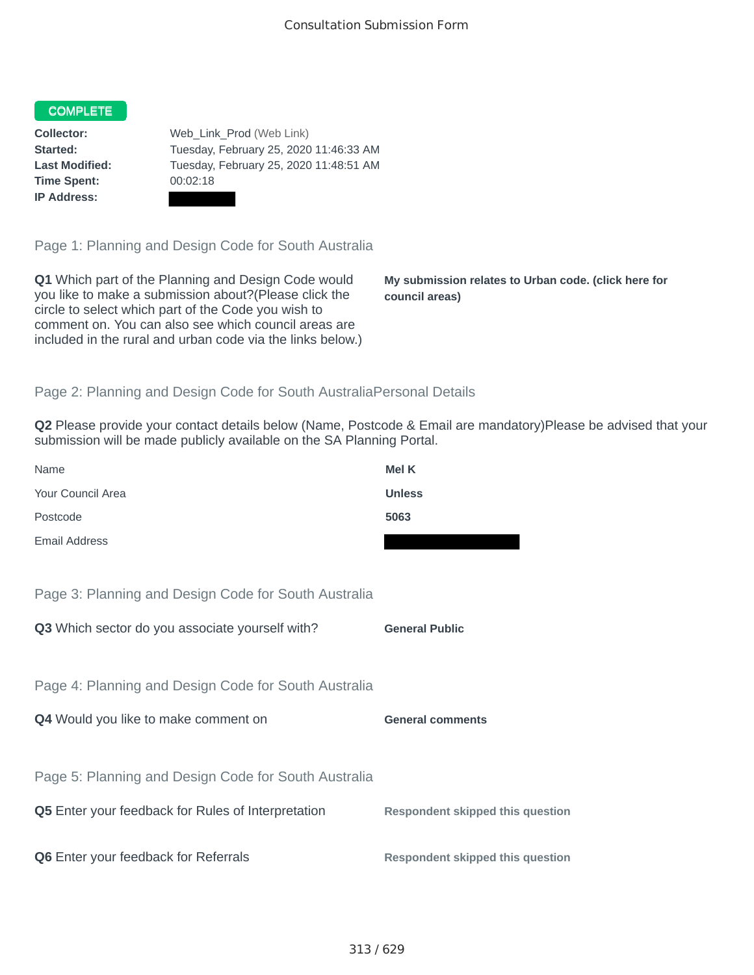## COMPLETE

**Time Spent:** 00:02:18 **IP Address:**

**Collector:** Web\_Link\_Prod (Web Link) **Started:** Tuesday, February 25, 2020 11:46:33 AM **Last Modified:** Tuesday, February 25, 2020 11:48:51 AM

Page 1: Planning and Design Code for South Australia

**Q1** Which part of the Planning and Design Code would you like to make a submission about?(Please click the circle to select which part of the Code you wish to comment on. You can also see which council areas are included in the rural and urban code via the links below.)

**My submission relates to Urban code. (click here for council areas)**

## Page 2: Planning and Design Code for South AustraliaPersonal Details

**Q2** Please provide your contact details below (Name, Postcode & Email are mandatory)Please be advised that your submission will be made publicly available on the SA Planning Portal.

| Name                                                 | Mel K                                   |
|------------------------------------------------------|-----------------------------------------|
| Your Council Area                                    | <b>Unless</b>                           |
| Postcode                                             | 5063                                    |
| Email Address                                        |                                         |
|                                                      |                                         |
| Page 3: Planning and Design Code for South Australia |                                         |
| Q3 Which sector do you associate yourself with?      | <b>General Public</b>                   |
|                                                      |                                         |
| Page 4: Planning and Design Code for South Australia |                                         |
| Q4 Would you like to make comment on                 | <b>General comments</b>                 |
|                                                      |                                         |
| Page 5: Planning and Design Code for South Australia |                                         |
| Q5 Enter your feedback for Rules of Interpretation   | <b>Respondent skipped this question</b> |
|                                                      |                                         |
| Q6 Enter your feedback for Referrals                 | <b>Respondent skipped this question</b> |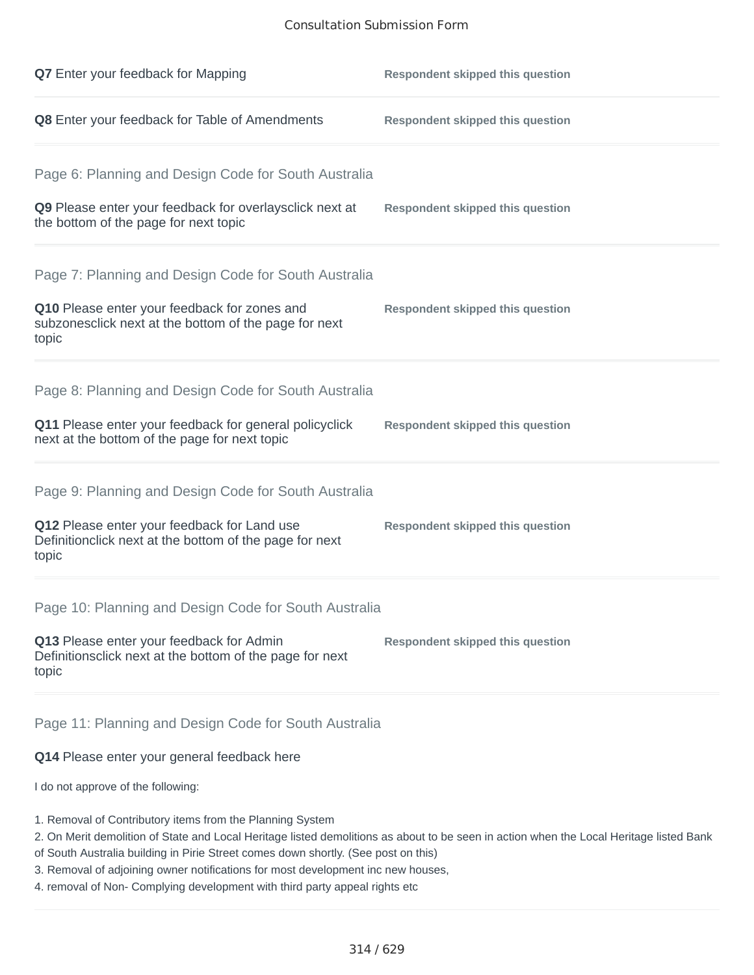## Consultation Submission Form

| <b>Q7</b> Enter your feedback for Mapping                                                                       | <b>Respondent skipped this question</b> |
|-----------------------------------------------------------------------------------------------------------------|-----------------------------------------|
| Q8 Enter your feedback for Table of Amendments                                                                  | <b>Respondent skipped this question</b> |
| Page 6: Planning and Design Code for South Australia                                                            |                                         |
| Q9 Please enter your feedback for overlaysclick next at<br>the bottom of the page for next topic                | <b>Respondent skipped this question</b> |
| Page 7: Planning and Design Code for South Australia                                                            |                                         |
| Q10 Please enter your feedback for zones and<br>subzonesclick next at the bottom of the page for next<br>topic  | <b>Respondent skipped this question</b> |
| Page 8: Planning and Design Code for South Australia                                                            |                                         |
| Q11 Please enter your feedback for general policyclick<br>next at the bottom of the page for next topic         | <b>Respondent skipped this question</b> |
| Page 9: Planning and Design Code for South Australia                                                            |                                         |
| Q12 Please enter your feedback for Land use<br>Definitionclick next at the bottom of the page for next<br>topic | <b>Respondent skipped this question</b> |
| Page 10: Planning and Design Code for South Australia                                                           |                                         |
| Q13 Please enter your feedback for Admin<br>Definitionsclick next at the bottom of the page for next<br>topic   | <b>Respondent skipped this question</b> |
| Page 11: Planning and Design Code for South Australia                                                           |                                         |

## **Q14** Please enter your general feedback here

I do not approve of the following:

- 1. Removal of Contributory items from the Planning System
- 2. On Merit demolition of State and Local Heritage listed demolitions as about to be seen in action when the Local Heritage listed Bank
- of South Australia building in Pirie Street comes down shortly. (See post on this)
- 3. Removal of adjoining owner notifications for most development inc new houses,
- 4. removal of Non- Complying development with third party appeal rights etc